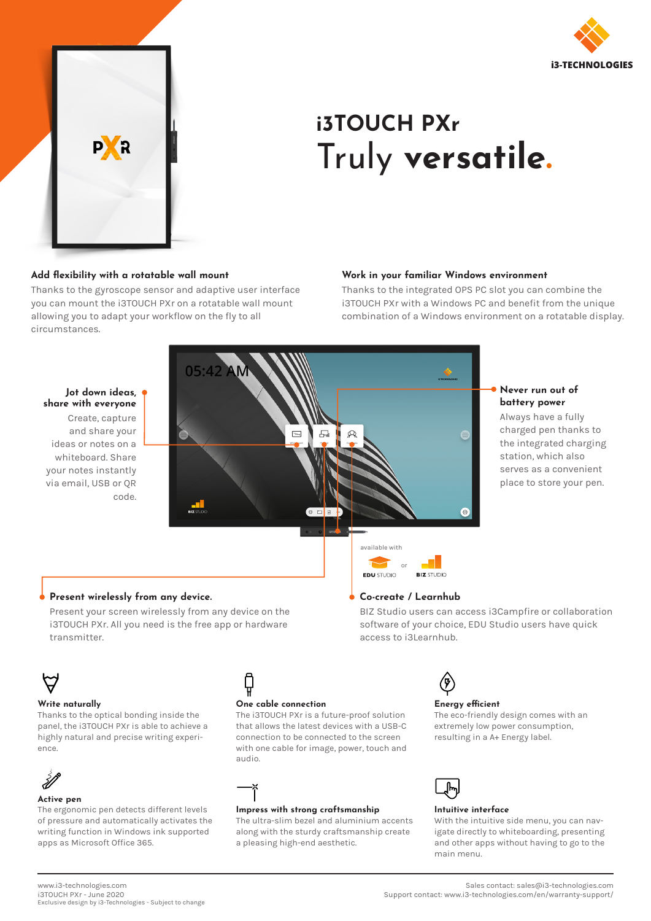



# **i3TOUCH PXr** Truly **versatile.**

#### **Add flexibility with a rotatable wall mount**

Thanks to the gyroscope sensor and adaptive user interface you can mount the i3TOUCH PXr on a rotatable wall mount allowing you to adapt your workflow on the fly to all circumstances.

#### **Work in your familiar Windows environment**

Thanks to the integrated OPS PC slot you can combine the i3TOUCH PXr with a Windows PC and benefit from the unique combination of a Windows environment on a rotatable display.



### **Present wirelessly from any device.**

Present your screen wirelessly from any device on the i3TOUCH PXr. All you need is the free app or hardware transmitter.

### **Co-create / Learnhub**

BIZ Studio users can access i3Campfire or collaboration software of your choice, EDU Studio users have quick access to i3Learnhub.

#### **Write naturally**

Thanks to the optical bonding inside the panel, the i3TOUCH PXr is able to achieve a highly natural and precise writing experience.



#### **Active pen**

The ergonomic pen detects different levels of pressure and automatically activates the writing function in Windows ink supported apps as Microsoft Office 365.

## **One cable connection**

The i3TOUCH PXr is a future-proof solution that allows the latest devices with a USB-C connection to be connected to the screen with one cable for image, power, touch and audio.



#### **Impress with strong craftsmanship**

The ultra-slim bezel and aluminium accents along with the sturdy craftsmanship create a pleasing high-end aesthetic.



The eco-friendly design comes with an extremely low power consumption, resulting in a A+ Energy label.



#### **Intuitive interface**

With the intuitive side menu, you can navigate directly to whiteboarding, presenting and other apps without having to go to the main menu.